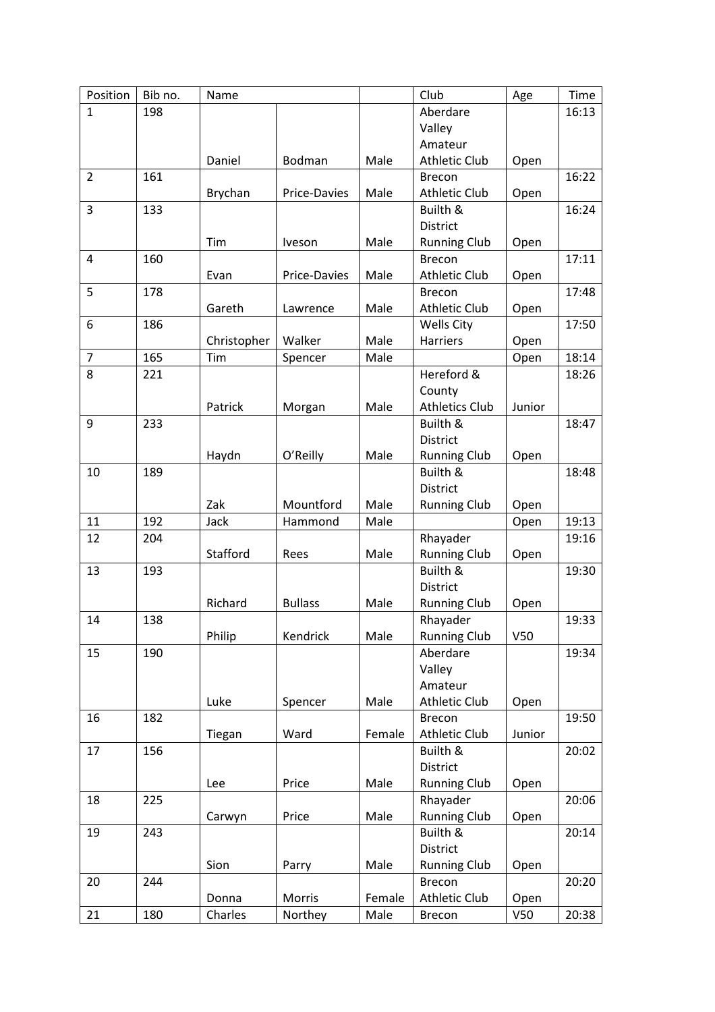| Position       | Bib no. | Name        |                |        | Club                  | Age    | <b>Time</b> |
|----------------|---------|-------------|----------------|--------|-----------------------|--------|-------------|
| $\mathbf{1}$   | 198     |             |                |        | Aberdare              |        | 16:13       |
|                |         |             |                |        | Valley                |        |             |
|                |         |             |                |        | Amateur               |        |             |
|                |         | Daniel      | Bodman         | Male   | <b>Athletic Club</b>  | Open   |             |
| $\overline{2}$ | 161     |             |                |        | <b>Brecon</b>         |        | 16:22       |
|                |         | Brychan     | Price-Davies   | Male   | <b>Athletic Club</b>  | Open   |             |
| 3              | 133     |             |                |        | Builth &              |        | 16:24       |
|                |         |             |                |        | District              |        |             |
|                |         | Tim         | Iveson         | Male   | <b>Running Club</b>   | Open   |             |
| 4              | 160     |             |                |        | <b>Brecon</b>         |        | 17:11       |
|                |         | Evan        | Price-Davies   | Male   | <b>Athletic Club</b>  | Open   |             |
| 5              | 178     |             |                |        | <b>Brecon</b>         |        | 17:48       |
|                |         | Gareth      | Lawrence       | Male   | <b>Athletic Club</b>  | Open   |             |
| 6              | 186     |             |                |        | Wells City            |        | 17:50       |
|                |         | Christopher | Walker         | Male   | <b>Harriers</b>       | Open   |             |
| $\overline{7}$ | 165     | Tim         | Spencer        | Male   |                       | Open   | 18:14       |
| 8              | 221     |             |                |        | Hereford &            |        | 18:26       |
|                |         |             |                |        | County                |        |             |
|                |         | Patrick     | Morgan         | Male   | <b>Athletics Club</b> | Junior |             |
| 9              | 233     |             |                |        | Builth &              |        | 18:47       |
|                |         |             |                |        | District              |        |             |
|                |         | Haydn       | O'Reilly       | Male   | <b>Running Club</b>   | Open   |             |
| 10             | 189     |             |                |        | Builth &              |        | 18:48       |
|                |         |             |                |        | District              |        |             |
|                |         | Zak         | Mountford      | Male   | <b>Running Club</b>   | Open   |             |
| 11             | 192     | Jack        | Hammond        | Male   |                       | Open   | 19:13       |
| 12             | 204     |             |                |        | Rhayader              |        | 19:16       |
|                |         | Stafford    | Rees           | Male   | <b>Running Club</b>   | Open   |             |
| 13             | 193     |             |                |        | Builth &              |        | 19:30       |
|                |         |             |                |        | District              |        |             |
|                |         | Richard     | <b>Bullass</b> | Male   | <b>Running Club</b>   | Open   |             |
| 14             | 138     |             |                |        | Rhayader              |        | 19:33       |
|                |         | Philip      | Kendrick       | Male   | <b>Running Club</b>   | V50    |             |
| 15             | 190     |             |                |        | Aberdare              |        | 19:34       |
|                |         |             |                |        | Valley                |        |             |
|                |         |             |                |        | Amateur               |        |             |
|                |         | Luke        | Spencer        | Male   | <b>Athletic Club</b>  | Open   |             |
| 16             | 182     |             |                |        | Brecon                |        | 19:50       |
|                |         | Tiegan      | Ward           | Female | Athletic Club         | Junior |             |
| 17             | 156     |             |                |        | Builth &              |        | 20:02       |
|                |         |             |                |        | District              |        |             |
|                |         | Lee         | Price          | Male   | <b>Running Club</b>   | Open   |             |
| 18             | 225     |             |                |        | Rhayader              |        | 20:06       |
|                |         | Carwyn      | Price          | Male   | <b>Running Club</b>   | Open   |             |
| 19             | 243     |             |                |        | Builth &              |        | 20:14       |
|                |         |             |                |        | District              |        |             |
|                |         | Sion        | Parry          | Male   | <b>Running Club</b>   | Open   |             |
| 20             | 244     |             |                |        | Brecon                |        | 20:20       |
|                |         | Donna       | Morris         | Female | Athletic Club         | Open   |             |
| 21             | 180     | Charles     | Northey        | Male   | Brecon                | V50    | 20:38       |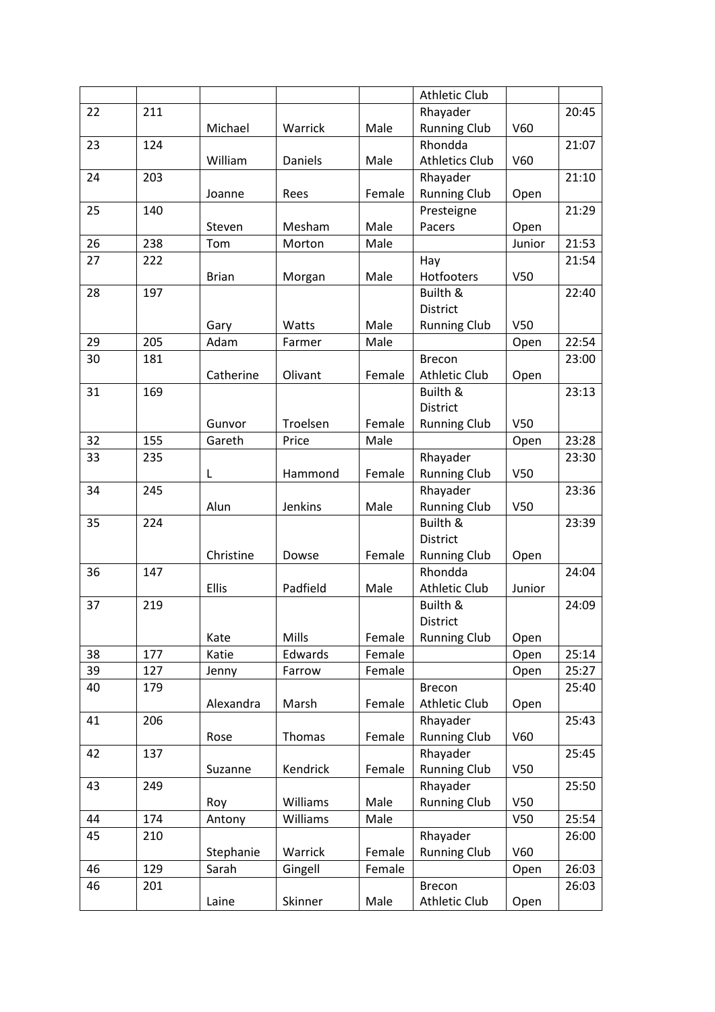|    |     |              |          |        | <b>Athletic Club</b>  |                 |       |
|----|-----|--------------|----------|--------|-----------------------|-----------------|-------|
| 22 | 211 |              |          |        | Rhayader              |                 | 20:45 |
|    |     | Michael      | Warrick  | Male   | <b>Running Club</b>   | V60             |       |
| 23 | 124 |              |          |        | Rhondda               |                 | 21:07 |
|    |     | William      | Daniels  | Male   | <b>Athletics Club</b> | V60             |       |
| 24 | 203 |              |          |        | Rhayader              |                 | 21:10 |
|    |     | Joanne       | Rees     | Female | <b>Running Club</b>   | Open            |       |
| 25 | 140 |              |          |        | Presteigne            |                 | 21:29 |
|    |     | Steven       | Mesham   | Male   | Pacers                | Open            |       |
| 26 | 238 | Tom          | Morton   | Male   |                       | Junior          | 21:53 |
| 27 | 222 |              |          |        | Hay                   |                 | 21:54 |
|    |     | <b>Brian</b> | Morgan   | Male   | Hotfooters            | V50             |       |
| 28 | 197 |              |          |        | Builth &              |                 | 22:40 |
|    |     |              |          |        | District              |                 |       |
|    |     | Gary         | Watts    | Male   | <b>Running Club</b>   | V50             |       |
| 29 | 205 | Adam         | Farmer   | Male   |                       | Open            | 22:54 |
| 30 | 181 |              |          |        | <b>Brecon</b>         |                 | 23:00 |
|    |     | Catherine    | Olivant  | Female | <b>Athletic Club</b>  | Open            |       |
| 31 | 169 |              |          |        | Builth &              |                 | 23:13 |
|    |     |              |          |        | District              |                 |       |
|    |     | Gunvor       | Troelsen | Female | <b>Running Club</b>   | V <sub>50</sub> |       |
| 32 | 155 | Gareth       | Price    | Male   |                       | Open            | 23:28 |
| 33 | 235 |              |          |        | Rhayader              |                 | 23:30 |
|    |     | L            | Hammond  | Female | <b>Running Club</b>   | V50             |       |
| 34 | 245 |              |          |        | Rhayader              |                 | 23:36 |
|    |     | Alun         | Jenkins  | Male   | <b>Running Club</b>   | V <sub>50</sub> |       |
| 35 | 224 |              |          |        | Builth &              |                 | 23:39 |
|    |     |              |          |        | District              |                 |       |
|    |     | Christine    | Dowse    | Female | <b>Running Club</b>   | Open            |       |
| 36 | 147 |              |          |        | Rhondda               |                 | 24:04 |
|    |     | Ellis        | Padfield | Male   | <b>Athletic Club</b>  | Junior          |       |
| 37 | 219 |              |          |        | Builth &              |                 | 24:09 |
|    |     |              |          |        | District              |                 |       |
|    |     | Kate         | Mills    | Female | <b>Running Club</b>   | Open            |       |
| 38 | 177 | Katie        | Edwards  | Female |                       | Open            | 25:14 |
| 39 | 127 | Jenny        | Farrow   | Female |                       | Open            | 25:27 |
| 40 | 179 |              |          |        | <b>Brecon</b>         |                 | 25:40 |
|    |     | Alexandra    | Marsh    | Female | <b>Athletic Club</b>  | Open            |       |
| 41 | 206 |              |          |        | Rhayader              |                 | 25:43 |
|    |     | Rose         | Thomas   | Female | <b>Running Club</b>   | V60             |       |
| 42 | 137 |              |          |        | Rhayader              |                 | 25:45 |
|    |     | Suzanne      | Kendrick | Female | <b>Running Club</b>   | V50             |       |
| 43 | 249 |              |          |        | Rhayader              |                 | 25:50 |
|    |     | Roy          | Williams | Male   | <b>Running Club</b>   | V50             |       |
| 44 | 174 | Antony       | Williams | Male   |                       | V50             | 25:54 |
| 45 | 210 |              |          |        | Rhayader              |                 | 26:00 |
|    |     | Stephanie    | Warrick  | Female | <b>Running Club</b>   | V60             |       |
| 46 | 129 | Sarah        | Gingell  | Female |                       | Open            | 26:03 |
| 46 | 201 |              |          |        | Brecon                |                 | 26:03 |
|    |     | Laine        | Skinner  | Male   | Athletic Club         | Open            |       |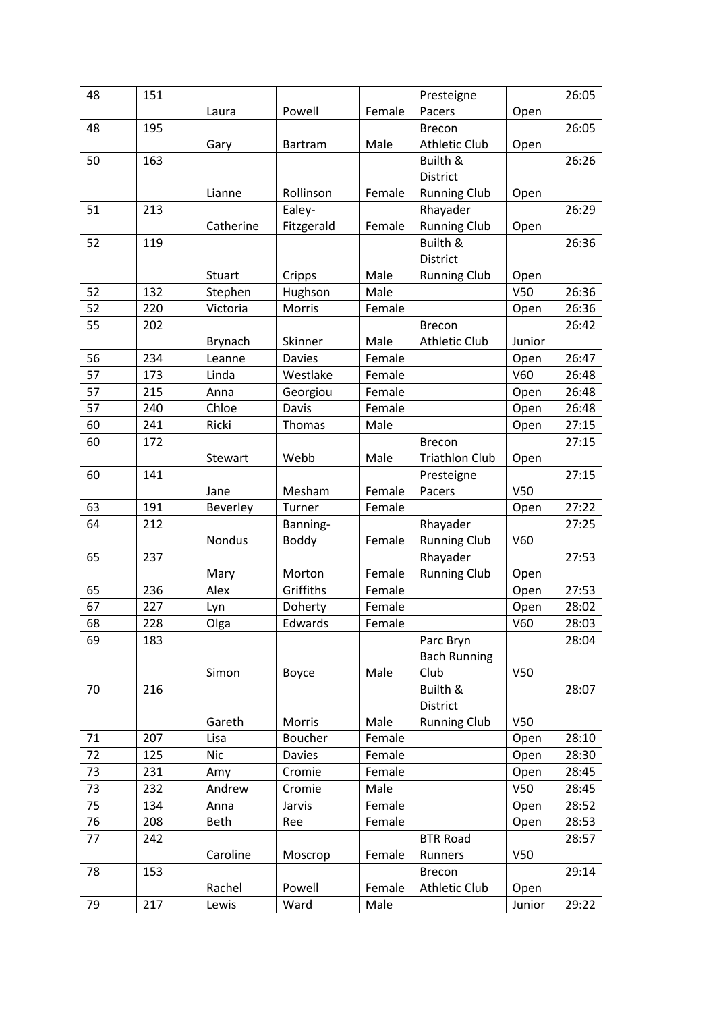| 48       | 151 |               |                |        | Presteigne            |                 | 26:05 |
|----------|-----|---------------|----------------|--------|-----------------------|-----------------|-------|
|          |     | Laura         | Powell         | Female | Pacers                | Open            |       |
| 48       | 195 |               |                |        | <b>Brecon</b>         |                 | 26:05 |
|          |     | Gary          | <b>Bartram</b> | Male   | <b>Athletic Club</b>  | Open            |       |
| 50       | 163 |               |                |        | Builth &              |                 | 26:26 |
|          |     |               |                |        | District              |                 |       |
|          |     | Lianne        | Rollinson      | Female | <b>Running Club</b>   | Open            |       |
| 51       | 213 |               | Ealey-         |        | Rhayader              |                 | 26:29 |
|          |     | Catherine     | Fitzgerald     | Female | <b>Running Club</b>   | Open            |       |
| 52       | 119 |               |                |        | Builth &              |                 | 26:36 |
|          |     |               |                |        | District              |                 |       |
|          |     | Stuart        | Cripps         | Male   | <b>Running Club</b>   | Open            |       |
| 52       | 132 | Stephen       | Hughson        | Male   |                       | V50             | 26:36 |
| 52       | 220 | Victoria      | Morris         | Female |                       | Open            | 26:36 |
| 55       | 202 |               |                |        | <b>Brecon</b>         |                 | 26:42 |
|          |     | Brynach       | Skinner        | Male   | <b>Athletic Club</b>  | Junior          |       |
| 56       | 234 | Leanne        | <b>Davies</b>  | Female |                       | Open            | 26:47 |
| 57       | 173 | Linda         | Westlake       | Female |                       | V60             | 26:48 |
| 57       | 215 | Anna          | Georgiou       | Female |                       | Open            | 26:48 |
| 57       | 240 | Chloe         | Davis          | Female |                       | Open            | 26:48 |
| 60       | 241 | Ricki         | Thomas         | Male   |                       | Open            | 27:15 |
| 60       | 172 |               |                |        | <b>Brecon</b>         |                 | 27:15 |
|          |     | Stewart       | Webb           | Male   | <b>Triathlon Club</b> | Open            |       |
| 60       | 141 |               |                |        | Presteigne            |                 | 27:15 |
|          |     | Jane          | Mesham         | Female | Pacers                | V <sub>50</sub> |       |
| 63       | 191 | Beverley      | Turner         | Female |                       | Open            | 27:22 |
| 64       | 212 |               | Banning-       |        | Rhayader              |                 | 27:25 |
|          |     | <b>Nondus</b> | <b>Boddy</b>   | Female | <b>Running Club</b>   | V60             |       |
| 65       | 237 |               |                |        | Rhayader              |                 | 27:53 |
|          |     | Mary          | Morton         | Female | <b>Running Club</b>   | Open            |       |
| 65       | 236 | Alex          | Griffiths      | Female |                       | Open            | 27:53 |
| 67       | 227 | Lyn           | Doherty        | Female |                       | Open            | 28:02 |
| 68       | 228 | Olga          | Edwards        | Female |                       | V60             | 28:03 |
| 69       | 183 |               |                |        | Parc Bryn             |                 | 28:04 |
|          |     |               |                |        | <b>Bach Running</b>   |                 |       |
|          |     | Simon         | Boyce          | Male   | Club                  | V50             |       |
| 70       | 216 |               |                |        | Builth &              |                 | 28:07 |
|          |     |               |                |        | District              |                 |       |
|          |     | Gareth        | Morris         | Male   | <b>Running Club</b>   | V50             |       |
| 71       | 207 | Lisa          | Boucher        | Female |                       | Open            | 28:10 |
| 72       | 125 | <b>Nic</b>    | Davies         | Female |                       | Open            | 28:30 |
| 73       | 231 | Amy           | Cromie         | Female |                       | Open            | 28:45 |
| 73<br>75 | 232 | Andrew        | Cromie         | Male   |                       | V50             | 28:45 |
|          | 134 | Anna          | Jarvis         | Female |                       | Open            | 28:52 |
| 76       | 208 | <b>Beth</b>   | Ree            | Female |                       | Open            | 28:53 |
| 77       | 242 |               |                |        | <b>BTR Road</b>       |                 | 28:57 |
|          |     | Caroline      | Moscrop        | Female | Runners               | V <sub>50</sub> |       |
| 78       | 153 |               |                |        | <b>Brecon</b>         |                 | 29:14 |
|          |     | Rachel        | Powell         | Female | Athletic Club         | Open            |       |
| 79       | 217 | Lewis         | Ward           | Male   |                       | Junior          | 29:22 |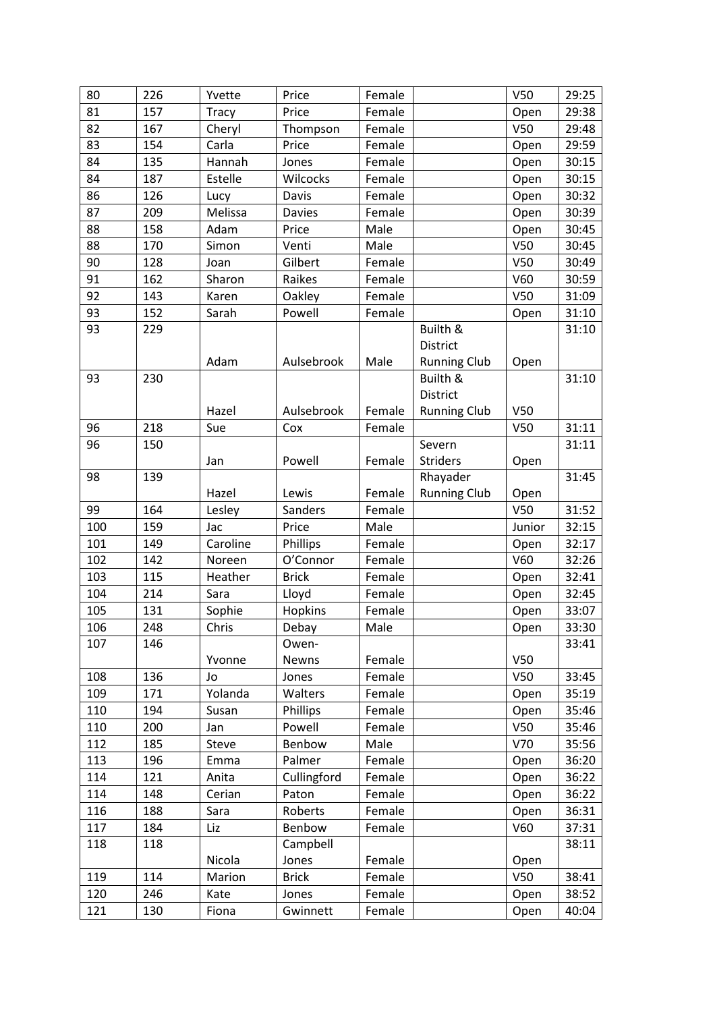| 80  | 226 | Yvette       | Price         | Female |                     | V <sub>50</sub> | 29:25 |
|-----|-----|--------------|---------------|--------|---------------------|-----------------|-------|
| 81  | 157 | <b>Tracy</b> | Price         | Female |                     | Open            | 29:38 |
| 82  | 167 | Cheryl       | Thompson      | Female |                     | V50             | 29:48 |
| 83  | 154 | Carla        | Price         | Female |                     | Open            | 29:59 |
| 84  | 135 | Hannah       | Jones         | Female |                     | Open            | 30:15 |
| 84  | 187 | Estelle      | Wilcocks      | Female |                     | Open            | 30:15 |
| 86  | 126 | Lucy         | Davis         | Female |                     | Open            | 30:32 |
| 87  | 209 | Melissa      | <b>Davies</b> | Female |                     | Open            | 30:39 |
| 88  | 158 | Adam         | Price         | Male   |                     | Open            | 30:45 |
| 88  | 170 | Simon        | Venti         | Male   |                     | V50             | 30:45 |
| 90  | 128 | Joan         | Gilbert       | Female |                     | V <sub>50</sub> | 30:49 |
| 91  | 162 | Sharon       | Raikes        | Female |                     | V60             | 30:59 |
| 92  | 143 | Karen        | Oakley        | Female |                     | V <sub>50</sub> | 31:09 |
| 93  | 152 | Sarah        | Powell        | Female |                     | Open            | 31:10 |
| 93  | 229 |              |               |        | Builth &            |                 | 31:10 |
|     |     |              |               |        | District            |                 |       |
|     |     | Adam         | Aulsebrook    | Male   | <b>Running Club</b> | Open            |       |
| 93  | 230 |              |               |        | Builth &            |                 | 31:10 |
|     |     |              |               |        | District            |                 |       |
|     |     | Hazel        | Aulsebrook    | Female | <b>Running Club</b> | V50             |       |
| 96  | 218 | Sue          | Cox           | Female |                     | V <sub>50</sub> | 31:11 |
| 96  | 150 |              |               |        | Severn              |                 | 31:11 |
|     |     | Jan          | Powell        | Female | <b>Striders</b>     | Open            |       |
| 98  | 139 |              |               |        | Rhayader            |                 | 31:45 |
|     |     | Hazel        | Lewis         | Female | <b>Running Club</b> | Open            |       |
| 99  | 164 | Lesley       | Sanders       | Female |                     | V50             | 31:52 |
| 100 | 159 | Jac          | Price         | Male   |                     | Junior          | 32:15 |
| 101 | 149 | Caroline     | Phillips      | Female |                     | Open            | 32:17 |
| 102 | 142 | Noreen       | O'Connor      | Female |                     | V60             | 32:26 |
| 103 | 115 | Heather      | <b>Brick</b>  | Female |                     | Open            | 32:41 |
| 104 | 214 | Sara         | Lloyd         | Female |                     | Open            | 32:45 |
| 105 | 131 | Sophie       | Hopkins       | Female |                     | Open            | 33:07 |
| 106 | 248 | Chris        | Debay         | Male   |                     | Op <u>en</u>    | 33:30 |
| 107 | 146 |              | Owen-         |        |                     |                 | 33:41 |
|     |     | Yvonne       | Newns         | Female |                     | V50             |       |
| 108 | 136 | Jo           | Jones         | Female |                     | V <sub>50</sub> | 33:45 |
| 109 | 171 | Yolanda      | Walters       | Female |                     | Open            | 35:19 |
| 110 | 194 | Susan        | Phillips      | Female |                     | Open            | 35:46 |
| 110 | 200 | Jan          | Powell        | Female |                     | V <sub>50</sub> | 35:46 |
| 112 | 185 | Steve        | Benbow        | Male   |                     | V70             | 35:56 |
| 113 | 196 | Emma         | Palmer        | Female |                     | Open            | 36:20 |
| 114 | 121 | Anita        | Cullingford   | Female |                     | Open            | 36:22 |
| 114 | 148 | Cerian       | Paton         | Female |                     | Open            | 36:22 |
| 116 | 188 | Sara         | Roberts       | Female |                     | Open            | 36:31 |
| 117 | 184 | Liz          | Benbow        | Female |                     | V60             | 37:31 |
| 118 | 118 |              | Campbell      |        |                     |                 | 38:11 |
|     |     | Nicola       | Jones         | Female |                     | Open            |       |
| 119 | 114 | Marion       | <b>Brick</b>  | Female |                     | V50             | 38:41 |
| 120 | 246 | Kate         | Jones         | Female |                     | Open            | 38:52 |
| 121 | 130 | Fiona        | Gwinnett      | Female |                     | Open            | 40:04 |